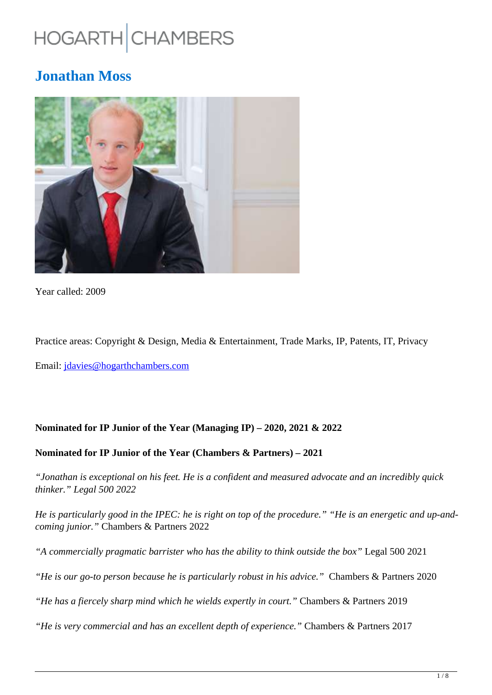# HOGARTH CHAMBERS

# **Jonathan Moss**



Year called: 2009

Practice areas: Copyright & Design, Media & Entertainment, Trade Marks, IP, Patents, IT, Privacy

Email: jdavies@hogarthchambers.com

#### **Nominated for IP Junior of the Year (Managing IP) – 2020, 2021 & 2022**

#### **Nominated for IP Junior of the Year (Chambers & Partners) – 2021**

*"Jonathan is exceptional on his feet. He is a confident and measured advocate and an incredibly quick thinker." Legal 500 2022*

*He is particularly good in the IPEC: he is right on top of the procedure." "He is an energetic and up-andcoming junior."* Chambers & Partners 2022

*"A commercially pragmatic barrister who has the ability to think outside the box"* Legal 500 2021

*"He is our go-to person because he is particularly robust in his advice."* Chambers & Partners 2020

*"He has a fiercely sharp mind which he wields expertly in court."* Chambers & Partners 2019

*"He is very commercial and has an excellent depth of experience."* Chambers & Partners 2017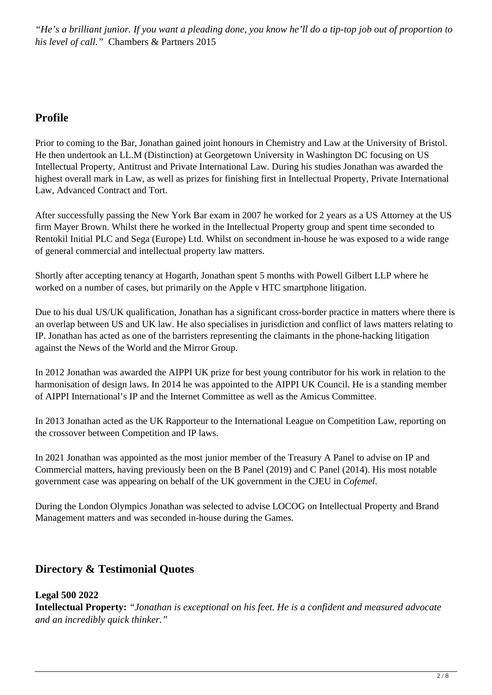*"He's a brilliant junior. If you want a pleading done, you know he'll do a tip-top job out of proportion to his level of call."* Chambers & Partners 2015

# **Profile**

Prior to coming to the Bar, Jonathan gained joint honours in Chemistry and Law at the University of Bristol. He then undertook an LL.M (Distinction) at Georgetown University in Washington DC focusing on US Intellectual Property, Antitrust and Private International Law. During his studies Jonathan was awarded the highest overall mark in Law, as well as prizes for finishing first in Intellectual Property, Private International Law, Advanced Contract and Tort.

After successfully passing the New York Bar exam in 2007 he worked for 2 years as a US Attorney at the US firm Mayer Brown. Whilst there he worked in the Intellectual Property group and spent time seconded to Rentokil Initial PLC and Sega (Europe) Ltd. Whilst on secondment in-house he was exposed to a wide range of general commercial and intellectual property law matters.

Shortly after accepting tenancy at Hogarth, Jonathan spent 5 months with Powell Gilbert LLP where he worked on a number of cases, but primarily on the Apple v HTC smartphone litigation.

Due to his dual US/UK qualification, Jonathan has a significant cross-border practice in matters where there is an overlap between US and UK law. He also specialises in jurisdiction and conflict of laws matters relating to IP. Jonathan has acted as one of the barristers representing the claimants in the phone-hacking litigation against the News of the World and the Mirror Group.

In 2012 Jonathan was awarded the AIPPI UK prize for best young contributor for his work in relation to the harmonisation of design laws. In 2014 he was appointed to the AIPPI UK Council. He is a standing member of AIPPI International's IP and the Internet Committee as well as the Amicus Committee.

In 2013 Jonathan acted as the UK Rapporteur to the International League on Competition Law, reporting on the crossover between Competition and IP laws.

In 2021 Jonathan was appointed as the most junior member of the Treasury A Panel to advise on IP and Commercial matters, having previously been on the B Panel (2019) and C Panel (2014). His most notable government case was appearing on behalf of the UK government in the CJEU in *Cofemel*.

During the London Olympics Jonathan was selected to advise LOCOG on Intellectual Property and Brand Management matters and was seconded in-house during the Games.

# **Directory & Testimonial Quotes**

**Legal 500 2022**

**Intellectual Property:** *"Jonathan is exceptional on his feet. He is a confident and measured advocate and an incredibly quick thinker."*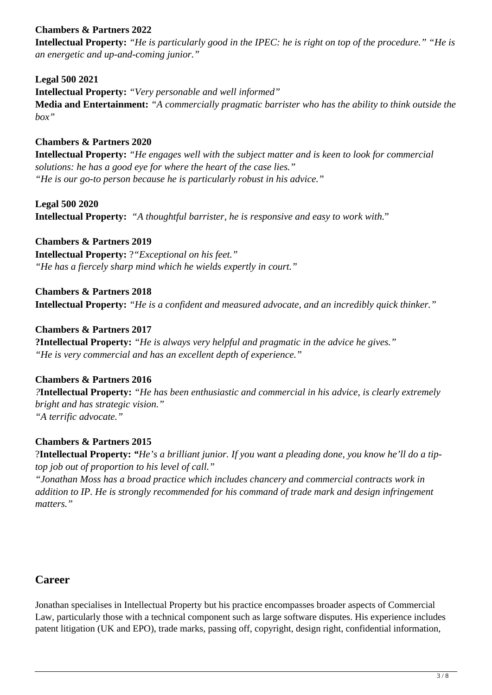## **Chambers & Partners 2022**

**Intellectual Property:** *"He is particularly good in the IPEC: he is right on top of the procedure." "He is an energetic and up-and-coming junior."*

**Legal 500 2021 Intellectual Property:** *"Very personable and well informed"* **Media and Entertainment:** *"A commercially pragmatic barrister who has the ability to think outside the box"*

#### **Chambers & Partners 2020**

**Intellectual Property:** *"He engages well with the subject matter and is keen to look for commercial solutions: he has a good eye for where the heart of the case lies." "He is our go-to person because he is particularly robust in his advice."* 

**Legal 500 2020 Intellectual Property:** *"A thoughtful barrister, he is responsive and easy to work with.*"

**Chambers & Partners 2019 Intellectual Property:** ?*"Exceptional on his feet." "He has a fiercely sharp mind which he wields expertly in court."*

**Chambers & Partners 2018 Intellectual Property:** *"He is a confident and measured advocate, and an incredibly quick thinker."* 

**Chambers & Partners 2017 ?Intellectual Property:** *"He is always very helpful and pragmatic in the advice he gives." "He is very commercial and has an excellent depth of experience."* 

**Chambers & Partners 2016** *?***Intellectual Property:** *"He has been enthusiastic and commercial in his advice, is clearly extremely bright and has strategic vision." "A terrific advocate."*

#### **Chambers & Partners 2015**

?**Intellectual Property:** *"He's a brilliant junior. If you want a pleading done, you know he'll do a tiptop job out of proportion to his level of call."*

*"Jonathan Moss has a broad practice which includes chancery and commercial contracts work in addition to IP. He is strongly recommended for his command of trade mark and design infringement matters."*

#### **Career**

Jonathan specialises in Intellectual Property but his practice encompasses broader aspects of Commercial Law, particularly those with a technical component such as large software disputes. His experience includes patent litigation (UK and EPO), trade marks, passing off, copyright, design right, confidential information,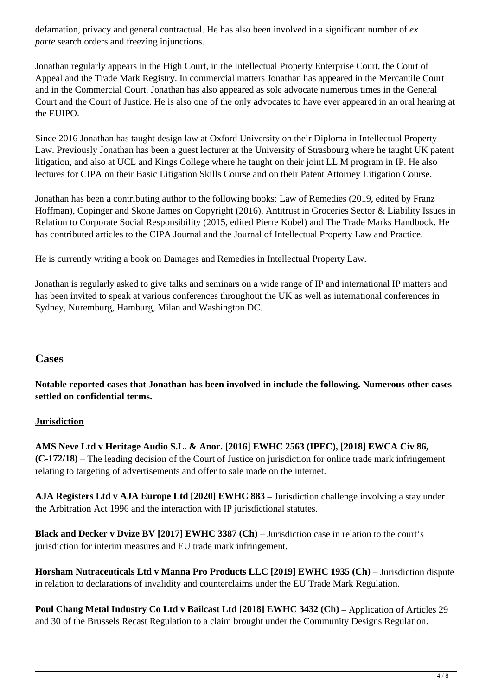defamation, privacy and general contractual. He has also been involved in a significant number of *ex parte* search orders and freezing injunctions.

Jonathan regularly appears in the High Court, in the Intellectual Property Enterprise Court, the Court of Appeal and the Trade Mark Registry. In commercial matters Jonathan has appeared in the Mercantile Court and in the Commercial Court. Jonathan has also appeared as sole advocate numerous times in the General Court and the Court of Justice. He is also one of the only advocates to have ever appeared in an oral hearing at the EUIPO.

Since 2016 Jonathan has taught design law at Oxford University on their Diploma in Intellectual Property Law. Previously Jonathan has been a guest lecturer at the University of Strasbourg where he taught UK patent litigation, and also at UCL and Kings College where he taught on their joint LL.M program in IP. He also lectures for CIPA on their Basic Litigation Skills Course and on their Patent Attorney Litigation Course.

Jonathan has been a contributing author to the following books: Law of Remedies (2019, edited by Franz Hoffman), Copinger and Skone James on Copyright (2016), Antitrust in Groceries Sector & Liability Issues in Relation to Corporate Social Responsibility (2015, edited Pierre Kobel) and The Trade Marks Handbook. He has contributed articles to the CIPA Journal and the Journal of Intellectual Property Law and Practice.

He is currently writing a book on Damages and Remedies in Intellectual Property Law.

Jonathan is regularly asked to give talks and seminars on a wide range of IP and international IP matters and has been invited to speak at various conferences throughout the UK as well as international conferences in Sydney, Nuremburg, Hamburg, Milan and Washington DC.

#### **Cases**

**Notable reported cases that Jonathan has been involved in include the following. Numerous other cases settled on confidential terms.**

#### **Jurisdiction**

**AMS Neve Ltd v Heritage Audio S.L. & Anor. [2016] EWHC 2563 (IPEC), [2018] EWCA Civ 86, (C-172/18)** – The leading decision of the Court of Justice on jurisdiction for online trade mark infringement relating to targeting of advertisements and offer to sale made on the internet.

**AJA Registers Ltd v AJA Europe Ltd [2020] EWHC 883** – Jurisdiction challenge involving a stay under the Arbitration Act 1996 and the interaction with IP jurisdictional statutes.

**Black and Decker v Dvize BV [2017] EWHC 3387 (Ch) – Jurisdiction case in relation to the court's** jurisdiction for interim measures and EU trade mark infringement.

Horsham Nutraceuticals Ltd v Manna Pro Products LLC [2019] EWHC 1935 (Ch) – Jurisdiction dispute in relation to declarations of invalidity and counterclaims under the EU Trade Mark Regulation.

Poul Chang Metal Industry Co Ltd v Bailcast Ltd [2018] EWHC 3432 (Ch) – Application of Articles 29 and 30 of the Brussels Recast Regulation to a claim brought under the Community Designs Regulation.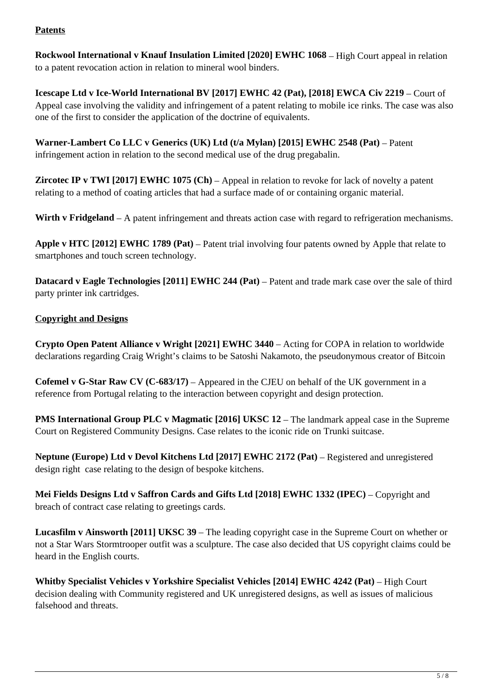#### **Patents**

**Rockwool International v Knauf Insulation Limited [2020] EWHC 1068** – High Court appeal in relation to a patent revocation action in relation to mineral wool binders.

**Icescape Ltd v Ice-World International BV [2017] EWHC 42 (Pat), [2018] EWCA Civ 2219** – Court of Appeal case involving the validity and infringement of a patent relating to mobile ice rinks. The case was also one of the first to consider the application of the doctrine of equivalents.

Warner-Lambert Co LLC v Generics (UK) Ltd (t/a Mylan) [2015] EWHC 2548 (Pat) – Patent infringement action in relation to the second medical use of the drug pregabalin.

**Zircotec IP v TWI [2017] EWHC 1075 (Ch) – Appeal in relation to revoke for lack of novelty a patent** relating to a method of coating articles that had a surface made of or containing organic material.

**Wirth v Fridgeland** – A patent infringement and threats action case with regard to refrigeration mechanisms.

**Apple v HTC [2012] EWHC 1789 (Pat)** – Patent trial involving four patents owned by Apple that relate to smartphones and touch screen technology.

**Datacard v Eagle Technologies [2011] EWHC 244 (Pat) – Patent and trade mark case over the sale of third** party printer ink cartridges.

#### **Copyright and Designs**

**Crypto Open Patent Alliance v Wright [2021] EWHC 3440** – Acting for COPA in relation to worldwide declarations regarding Craig Wright's claims to be Satoshi Nakamoto, the pseudonymous creator of Bitcoin

**Cofemel v G-Star Raw CV (C-683/17)** – Appeared in the CJEU on behalf of the UK government in a reference from Portugal relating to the interaction between copyright and design protection.

**PMS International Group PLC v Magmatic [2016] UKSC 12 – The landmark appeal case in the Supreme** Court on Registered Community Designs. Case relates to the iconic ride on Trunki suitcase.

**Neptune (Europe) Ltd v Devol Kitchens Ltd [2017] EWHC 2172 (Pat)** – Registered and unregistered design right case relating to the design of bespoke kitchens.

**Mei Fields Designs Ltd v Saffron Cards and Gifts Ltd [2018] EWHC 1332 (IPEC)** – Copyright and breach of contract case relating to greetings cards.

**Lucasfilm v Ainsworth [2011] UKSC 39** – The leading copyright case in the Supreme Court on whether or not a Star Wars Stormtrooper outfit was a sculpture. The case also decided that US copyright claims could be heard in the English courts.

Whitby Specialist Vehicles v Yorkshire Specialist Vehicles [2014] EWHC 4242 (Pat) – High Court decision dealing with Community registered and UK unregistered designs, as well as issues of malicious falsehood and threats.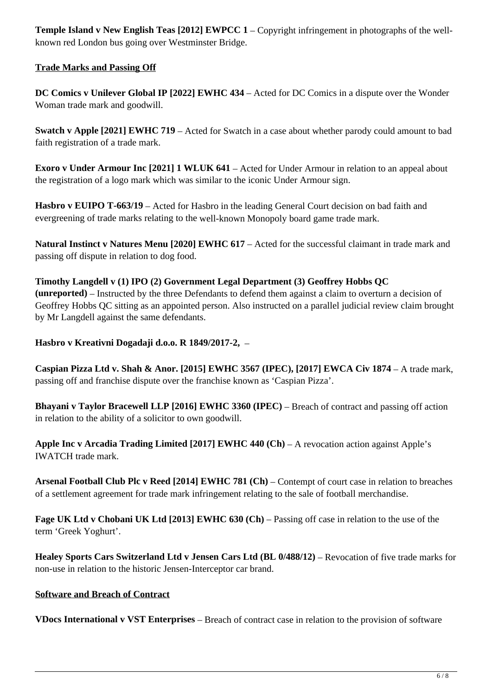**Temple Island v New English Teas [2012] EWPCC 1 – Copyright infringement in photographs of the well**known red London bus going over Westminster Bridge.

#### **Trade Marks and Passing Off**

**DC Comics v Unilever Global IP [2022] EWHC 434** – Acted for DC Comics in a dispute over the Wonder Woman trade mark and goodwill.

**Swatch v Apple [2021] EWHC 719** – Acted for Swatch in a case about whether parody could amount to bad faith registration of a trade mark.

**Exoro v Under Armour Inc [2021] 1 WLUK 641** – Acted for Under Armour in relation to an appeal about the registration of a logo mark which was similar to the iconic Under Armour sign.

Hasbro v EUIPO T-663/19 – Acted for Hasbro in the leading General Court decision on bad faith and evergreening of trade marks relating to the well-known Monopoly board game trade mark.

**Natural Instinct v Natures Menu [2020] EWHC 617** – Acted for the successful claimant in trade mark and passing off dispute in relation to dog food.

**Timothy Langdell v (1) IPO (2) Government Legal Department (3) Geoffrey Hobbs QC (unreported)** – Instructed by the three Defendants to defend them against a claim to overturn a decision of Geoffrey Hobbs QC sitting as an appointed person. Also instructed on a parallel judicial review claim brought by Mr Langdell against the same defendants.

#### **Hasbro v Kreativni Dogadaji d.o.o. R 1849/2017-2,** –

Caspian Pizza Ltd v. Shah & Anor. [2015] EWHC 3567 (IPEC), [2017] EWCA Civ 1874 – A trade mark, passing off and franchise dispute over the franchise known as 'Caspian Pizza'.

**Bhayani v Taylor Bracewell LLP [2016] EWHC 3360 (IPEC) – Breach of contract and passing off action** in relation to the ability of a solicitor to own goodwill.

**Apple Inc v Arcadia Trading Limited [2017] EWHC 440 (Ch)** – A revocation action against Apple's IWATCH trade mark.

**Arsenal Football Club Plc v Reed [2014] EWHC 781 (Ch) – Contempt of court case in relation to breaches** of a settlement agreement for trade mark infringement relating to the sale of football merchandise.

**Fage UK Ltd v Chobani UK Ltd [2013] EWHC 630 (Ch) – Passing off case in relation to the use of the** term 'Greek Yoghurt'.

**Healey Sports Cars Switzerland Ltd v Jensen Cars Ltd (BL 0/488/12) – Revocation of five trade marks for** non-use in relation to the historic Jensen-Interceptor car brand.

#### **Software and Breach of Contract**

**VDocs International v VST Enterprises** – Breach of contract case in relation to the provision of software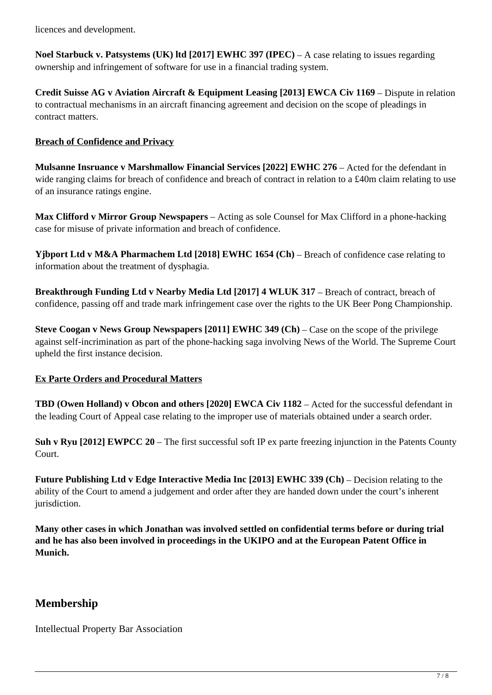licences and development.

**Noel Starbuck v. Patsystems (UK) ltd [2017] EWHC 397 (IPEC)** – A case relating to issues regarding ownership and infringement of software for use in a financial trading system.

**Credit Suisse AG v Aviation Aircraft & Equipment Leasing [2013] EWCA Civ 1169 – Dispute in relation** to contractual mechanisms in an aircraft financing agreement and decision on the scope of pleadings in contract matters.

#### **Breach of Confidence and Privacy**

**Mulsanne Insruance v Marshmallow Financial Services [2022] EWHC 276** – Acted for the defendant in wide ranging claims for breach of confidence and breach of contract in relation to a £40m claim relating to use of an insurance ratings engine.

**Max Clifford v Mirror Group Newspapers** – Acting as sole Counsel for Max Clifford in a phone-hacking case for misuse of private information and breach of confidence.

**Yjbport Ltd v M&A Pharmachem Ltd [2018] EWHC 1654 (Ch)** – Breach of confidence case relating to information about the treatment of dysphagia.

Breakthrough Funding Ltd v Nearby Media Ltd [2017] 4 WLUK 317 – Breach of contract, breach of confidence, passing off and trade mark infringement case over the rights to the UK Beer Pong Championship.

**Steve Coogan v News Group Newspapers [2011] EWHC 349 (Ch) – Case on the scope of the privilege** against self-incrimination as part of the phone-hacking saga involving News of the World. The Supreme Court upheld the first instance decision.

#### **Ex Parte Orders and Procedural Matters**

**TBD (Owen Holland) v Obcon and others [2020] EWCA Civ 1182 – Acted for the successful defendant in** the leading Court of Appeal case relating to the improper use of materials obtained under a search order.

**Suh v Ryu [2012] EWPCC 20** – The first successful soft IP ex parte freezing injunction in the Patents County Court.

**Future Publishing Ltd v Edge Interactive Media Inc [2013] EWHC 339 (Ch)** – Decision relating to the ability of the Court to amend a judgement and order after they are handed down under the court's inherent jurisdiction.

**Many other cases in which Jonathan was involved settled on confidential terms before or during trial and he has also been involved in proceedings in the UKIPO and at the European Patent Office in Munich.**

# **Membership**

Intellectual Property Bar Association